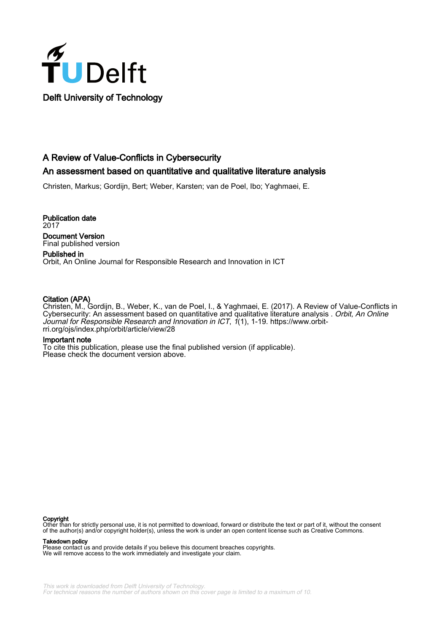

### A Review of Value-Conflicts in Cybersecurity

### An assessment based on quantitative and qualitative literature analysis

Christen, Markus; Gordijn, Bert; Weber, Karsten; van de Poel, Ibo; Yaghmaei, E.

Publication date 2017 Document Version Final published version

Published in Orbit, An Online Journal for Responsible Research and Innovation in ICT

#### Citation (APA)

Christen, M., Gordijn, B., Weber, K., van de Poel, I., & Yaghmaei, E. (2017). A Review of Value-Conflicts in Cybersecurity: An assessment based on quantitative and qualitative literature analysis . Orbit, An Online Journal for Responsible Research and Innovation in ICT, 1(1), 1-19. [https://www.orbit](https://www.orbit-rri.org/ojs/index.php/orbit/article/view/28)[rri.org/ojs/index.php/orbit/article/view/28](https://www.orbit-rri.org/ojs/index.php/orbit/article/view/28)

#### Important note

To cite this publication, please use the final published version (if applicable). Please check the document version above.

#### Copyright

Other than for strictly personal use, it is not permitted to download, forward or distribute the text or part of it, without the consent of the author(s) and/or copyright holder(s), unless the work is under an open content license such as Creative Commons.

#### Takedown policy

Please contact us and provide details if you believe this document breaches copyrights. We will remove access to the work immediately and investigate your claim.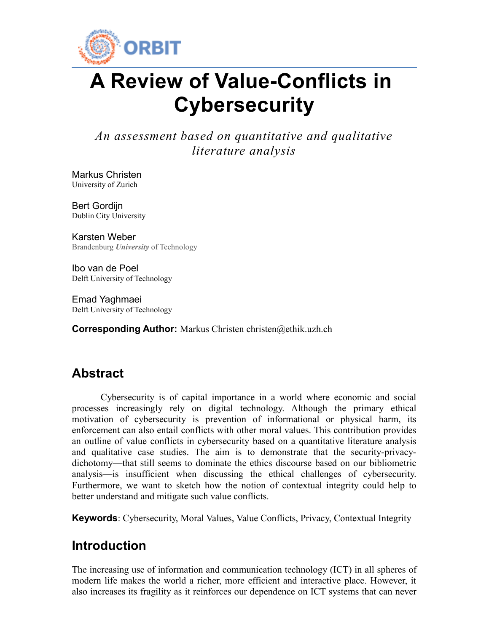

# **A Review of Value-Conflicts in Cybersecurity**

*An assessment based on quantitative and qualitative literature analysis*

Markus Christen University of Zurich

Bert Gordijn Dublin City University

Karsten Weber Brandenburg *University* of Technology

Ibo van de Poel Delft University of Technology

Emad Yaghmaei Delft University of Technology

**Corresponding Author:** Markus Christen christen@ethik.uzh.ch

# **Abstract**

Cybersecurity is of capital importance in a world where economic and social processes increasingly rely on digital technology. Although the primary ethical motivation of cybersecurity is prevention of informational or physical harm, its enforcement can also entail conflicts with other moral values. This contribution provides an outline of value conflicts in cybersecurity based on a quantitative literature analysis and qualitative case studies. The aim is to demonstrate that the security-privacydichotomy—that still seems to dominate the ethics discourse based on our bibliometric analysis—is insufficient when discussing the ethical challenges of cybersecurity. Furthermore, we want to sketch how the notion of contextual integrity could help to better understand and mitigate such value conflicts.

**Keywords**: Cybersecurity, Moral Values, Value Conflicts, Privacy, Contextual Integrity

# **Introduction**

The increasing use of information and communication technology (ICT) in all spheres of modern life makes the world a richer, more efficient and interactive place. However, it also increases its fragility as it reinforces our dependence on ICT systems that can never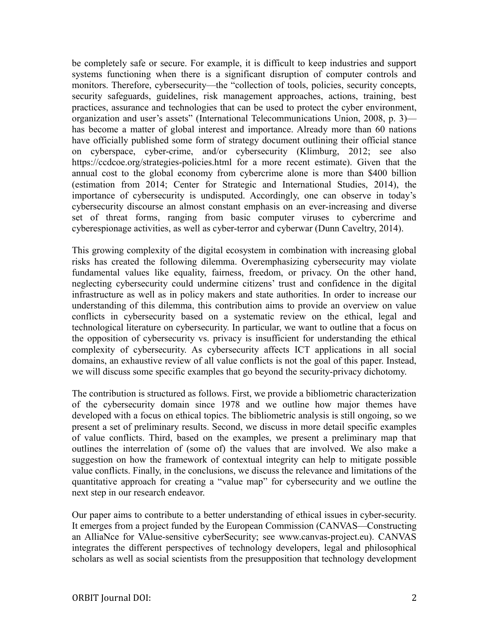be completely safe or secure. For example, it is difficult to keep industries and support systems functioning when there is a significant disruption of computer controls and monitors. Therefore, cybersecurity—the "collection of tools, policies, security concepts, security safeguards, guidelines, risk management approaches, actions, training, best practices, assurance and technologies that can be used to protect the cyber environment, organization and user's assets" (International Telecommunications Union, 2008, p. 3) has become a matter of global interest and importance. Already more than 60 nations have officially published some form of strategy document outlining their official stance on cyberspace, cyber-crime, and/or cybersecurity (Klimburg, 2012; see also https://ccdcoe.org/strategies-policies.html for a more recent estimate). Given that the annual cost to the global economy from cybercrime alone is more than \$400 billion (estimation from 2014; Center for Strategic and International Studies, 2014), the importance of cybersecurity is undisputed. Accordingly, one can observe in today's cybersecurity discourse an almost constant emphasis on an ever-increasing and diverse set of threat forms, ranging from basic computer viruses to cybercrime and cyberespionage activities, as well as cyber-terror and cyberwar (Dunn Caveltry, 2014).

This growing complexity of the digital ecosystem in combination with increasing global risks has created the following dilemma. Overemphasizing cybersecurity may violate fundamental values like equality, fairness, freedom, or privacy. On the other hand, neglecting cybersecurity could undermine citizens' trust and confidence in the digital infrastructure as well as in policy makers and state authorities. In order to increase our understanding of this dilemma, this contribution aims to provide an overview on value conflicts in cybersecurity based on a systematic review on the ethical, legal and technological literature on cybersecurity. In particular, we want to outline that a focus on the opposition of cybersecurity vs. privacy is insufficient for understanding the ethical complexity of cybersecurity. As cybersecurity affects ICT applications in all social domains, an exhaustive review of all value conflicts is not the goal of this paper. Instead, we will discuss some specific examples that go beyond the security-privacy dichotomy.

The contribution is structured as follows. First, we provide a bibliometric characterization of the cybersecurity domain since 1978 and we outline how major themes have developed with a focus on ethical topics. The bibliometric analysis is still ongoing, so we present a set of preliminary results. Second, we discuss in more detail specific examples of value conflicts. Third, based on the examples, we present a preliminary map that outlines the interrelation of (some of) the values that are involved. We also make a suggestion on how the framework of contextual integrity can help to mitigate possible value conflicts. Finally, in the conclusions, we discuss the relevance and limitations of the quantitative approach for creating a "value map" for cybersecurity and we outline the next step in our research endeavor.

Our paper aims to contribute to a better understanding of ethical issues in cyber-security. It emerges from a project funded by the European Commission (CANVAS—Constructing an AlliaNce for VAlue-sensitive cyberSecurity; see www.canvas-project.eu). CANVAS integrates the different perspectives of technology developers, legal and philosophical scholars as well as social scientists from the presupposition that technology development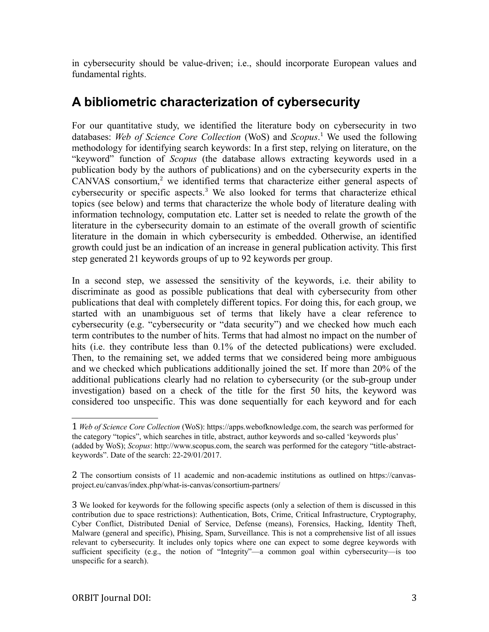in cybersecurity should be value-driven; i.e., should incorporate European values and fundamental rights.

# **A bibliometric characterization of cybersecurity**

For our quantitative study, we identified the literature body on cybersecurity in two databases: *Web of Science Core Collection* (WoS) and *Scopus*. [1](#page-3-0) We used the following methodology for identifying search keywords: In a first step, relying on literature, on the "keyword" function of *Scopus* (the database allows extracting keywords used in a publication body by the authors of publications) and on the cybersecurity experts in the  $CANVAS$  consortium,<sup>[2](#page-3-1)</sup> we identified terms that characterize either general aspects of cybersecurity or specific aspects.<sup>[3](#page-3-2)</sup> We also looked for terms that characterize ethical topics (see below) and terms that characterize the whole body of literature dealing with information technology, computation etc. Latter set is needed to relate the growth of the literature in the cybersecurity domain to an estimate of the overall growth of scientific literature in the domain in which cybersecurity is embedded. Otherwise, an identified growth could just be an indication of an increase in general publication activity. This first step generated 21 keywords groups of up to 92 keywords per group.

In a second step, we assessed the sensitivity of the keywords, i.e. their ability to discriminate as good as possible publications that deal with cybersecurity from other publications that deal with completely different topics. For doing this, for each group, we started with an unambiguous set of terms that likely have a clear reference to cybersecurity (e.g. "cybersecurity or "data security") and we checked how much each term contributes to the number of hits. Terms that had almost no impact on the number of hits (i.e. they contribute less than 0.1% of the detected publications) were excluded. Then, to the remaining set, we added terms that we considered being more ambiguous and we checked which publications additionally joined the set. If more than 20% of the additional publications clearly had no relation to cybersecurity (or the sub-group under investigation) based on a check of the title for the first 50 hits, the keyword was considered too unspecific. This was done sequentially for each keyword and for each

<span id="page-3-0"></span><sup>1</sup> *Web of Science Core Collection* (WoS): https://apps.webofknowledge.com, the search was performed for the category "topics", which searches in title, abstract, author keywords and so-called 'keywords plus' (added by WoS); *Scopus*: http://www.scopus.com, the search was performed for the category "title-abstractkeywords". Date of the search: 22-29/01/2017.

<span id="page-3-1"></span><sup>2</sup> The consortium consists of 11 academic and non-academic institutions as outlined on https://canvasproject.eu/canvas/index.php/what-is-canvas/consortium-partners/

<span id="page-3-2"></span><sup>3</sup> We looked for keywords for the following specific aspects (only a selection of them is discussed in this contribution due to space restrictions): Authentication, Bots, Crime, Critical Infrastructure, Cryptography, Cyber Conflict, Distributed Denial of Service, Defense (means), Forensics, Hacking, Identity Theft, Malware (general and specific), Phising, Spam, Surveillance. This is not a comprehensive list of all issues relevant to cybersecurity. It includes only topics where one can expect to some degree keywords with sufficient specificity (e.g., the notion of "Integrity"—a common goal within cybersecurity—is too unspecific for a search).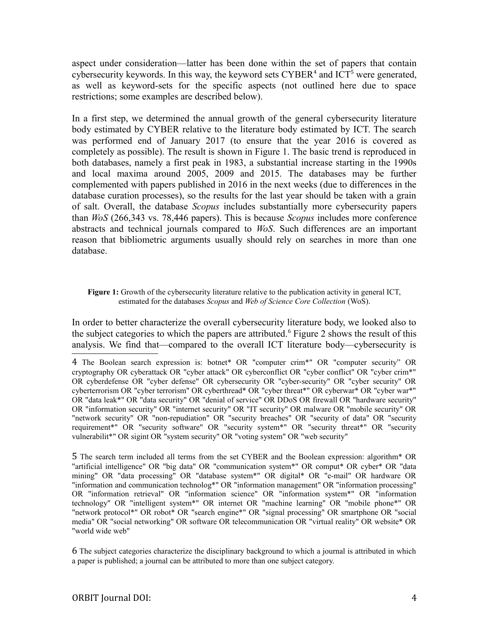aspect under consideration—latter has been done within the set of papers that contain cybersecurity keywords. In this way, the keyword sets  $\text{CYBER}^4$  $\text{CYBER}^4$  and ICT<sup>[5](#page-4-1)</sup> were generated, as well as keyword-sets for the specific aspects (not outlined here due to space restrictions; some examples are described below).

In a first step, we determined the annual growth of the general cybersecurity literature body estimated by CYBER relative to the literature body estimated by ICT. The search was performed end of January 2017 (to ensure that the year 2016 is covered as completely as possible). The result is shown in Figure 1. The basic trend is reproduced in both databases, namely a first peak in 1983, a substantial increase starting in the 1990s and local maxima around 2005, 2009 and 2015. The databases may be further complemented with papers published in 2016 in the next weeks (due to differences in the database curation processes), so the results for the last year should be taken with a grain of salt. Overall, the database *Scopus* includes substantially more cybersecurity papers than *WoS* (266,343 vs. 78,446 papers). This is because *Scopus* includes more conference abstracts and technical journals compared to *WoS*. Such differences are an important reason that bibliometric arguments usually should rely on searches in more than one database.

**Figure 1:** Growth of the cybersecurity literature relative to the publication activity in general ICT, estimated for the databases *Scopus* and *Web of Science Core Collection* (WoS).

In order to better characterize the overall cybersecurity literature body, we looked also to the subject categories to which the papers are attributed.<sup>[6](#page-4-2)</sup> Figure 2 shows the result of this analysis. We find that—compared to the overall ICT literature body—cybersecurity is

<span id="page-4-1"></span>5 The search term included all terms from the set CYBER and the Boolean expression: algorithm\* OR "artificial intelligence" OR "big data" OR "communication system\*" OR comput\* OR cyber\* OR "data mining" OR "data processing" OR "database system\*" OR digital\* OR "e-mail" OR hardware OR "information and communication technolog\*" OR "information management" OR "information processing" OR "information retrieval" OR "information science" OR "information system\*" OR "information technology" OR "intelligent system\*" OR internet OR "machine learning" OR "mobile phone\*" OR "network protocol\*" OR robot\* OR "search engine\*" OR "signal processing" OR smartphone OR "social media" OR "social networking" OR software OR telecommunication OR "virtual reality" OR website\* OR "world wide web"

<span id="page-4-2"></span>6 The subject categories characterize the disciplinary background to which a journal is attributed in which a paper is published; a journal can be attributed to more than one subject category.

<span id="page-4-0"></span><sup>4</sup> The Boolean search expression is: botnet\* OR "computer crim\*" OR "computer security" OR cryptography OR cyberattack OR "cyber attack" OR cyberconflict OR "cyber conflict" OR "cyber crim\*" OR cyberdefense OR "cyber defense" OR cybersecurity OR "cyber-security" OR "cyber security" OR cyberterrorism OR "cyber terrorism" OR cyberthread\* OR "cyber threat\*" OR cyberwar\* OR "cyber war\*" OR "data leak\*" OR "data security" OR "denial of service" OR DDoS OR firewall OR "hardware security" OR "information security" OR "internet security" OR "IT security" OR malware OR "mobile security" OR "network security" OR "non-repudiation" OR "security breaches" OR "security of data" OR "security requirement\*" OR "security software" OR "security system\*" OR "security threat\*" OR "security vulnerabilit\*" OR sigint OR "system security" OR "voting system" OR "web security"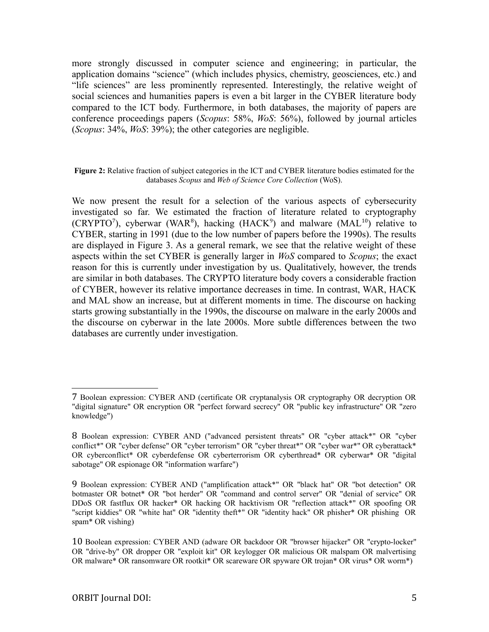more strongly discussed in computer science and engineering; in particular, the application domains "science" (which includes physics, chemistry, geosciences, etc.) and "life sciences" are less prominently represented. Interestingly, the relative weight of social sciences and humanities papers is even a bit larger in the CYBER literature body compared to the ICT body. Furthermore, in both databases, the majority of papers are conference proceedings papers (*Scopus*: 58%, *WoS*: 56%), followed by journal articles (*Scopus*: 34%, *WoS*: 39%); the other categories are negligible.

#### **Figure 2:** Relative fraction of subject categories in the ICT and CYBER literature bodies estimated for the databases *Scopus* and *Web of Science Core Collection* (WoS).

We now present the result for a selection of the various aspects of cybersecurity investigated so far. We estimated the fraction of literature related to cryptography (CRYPTO<sup>[7](#page-5-0)</sup>), cyberwar (WAR<sup>[8](#page-5-1)</sup>), hacking (HACK<sup>[9](#page-5-2)</sup>) and malware (MAL<sup>[10](#page-5-3)</sup>) relative to CYBER, starting in 1991 (due to the low number of papers before the 1990s). The results are displayed in Figure 3. As a general remark, we see that the relative weight of these aspects within the set CYBER is generally larger in *WoS* compared to *Scopus*; the exact reason for this is currently under investigation by us. Qualitatively, however, the trends are similar in both databases. The CRYPTO literature body covers a considerable fraction of CYBER, however its relative importance decreases in time. In contrast, WAR, HACK and MAL show an increase, but at different moments in time. The discourse on hacking starts growing substantially in the 1990s, the discourse on malware in the early 2000s and the discourse on cyberwar in the late 2000s. More subtle differences between the two databases are currently under investigation.

<span id="page-5-0"></span><sup>7</sup> Boolean expression: CYBER AND (certificate OR cryptanalysis OR cryptography OR decryption OR "digital signature" OR encryption OR "perfect forward secrecy" OR "public key infrastructure" OR "zero knowledge")

<span id="page-5-1"></span><sup>8</sup> Boolean expression: CYBER AND ("advanced persistent threats" OR "cyber attack\*" OR "cyber conflict\*" OR "cyber defense" OR "cyber terrorism" OR "cyber threat\*" OR "cyber war\*" OR cyberattack\* OR cyberconflict\* OR cyberdefense OR cyberterrorism OR cyberthread\* OR cyberwar\* OR "digital sabotage" OR espionage OR "information warfare")

<span id="page-5-2"></span><sup>9</sup> Boolean expression: CYBER AND ("amplification attack\*" OR "black hat" OR "bot detection" OR botmaster OR botnet\* OR "bot herder" OR "command and control server" OR "denial of service" OR DDoS OR fastflux OR hacker\* OR hacking OR hacktivism OR "reflection attack\*" OR spoofing OR "script kiddies" OR "white hat" OR "identity theft\*" OR "identity hack" OR phisher\* OR phishing OR spam\* OR vishing)

<span id="page-5-3"></span><sup>10</sup> Boolean expression: CYBER AND (adware OR backdoor OR "browser hijacker" OR "crypto-locker" OR "drive-by" OR dropper OR "exploit kit" OR keylogger OR malicious OR malspam OR malvertising OR malware\* OR ransomware OR rootkit\* OR scareware OR spyware OR trojan\* OR virus\* OR worm\*)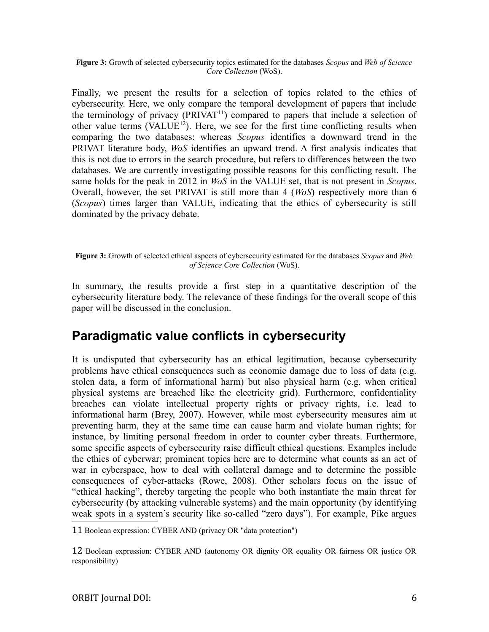#### **Figure 3:** Growth of selected cybersecurity topics estimated for the databases *Scopus* and *Web of Science Core Collection* (WoS).

Finally, we present the results for a selection of topics related to the ethics of cybersecurity. Here, we only compare the temporal development of papers that include the terminology of privacy ( $PRIVAT<sup>11</sup>$  $PRIVAT<sup>11</sup>$  $PRIVAT<sup>11</sup>$ ) compared to papers that include a selection of other value terms (VALUE<sup>[12](#page-6-1)</sup>). Here, we see for the first time conflicting results when comparing the two databases: whereas *Scopus* identifies a downward trend in the PRIVAT literature body, *WoS* identifies an upward trend. A first analysis indicates that this is not due to errors in the search procedure, but refers to differences between the two databases. We are currently investigating possible reasons for this conflicting result. The same holds for the peak in 2012 in *WoS* in the VALUE set, that is not present in *Scopus*. Overall, however, the set PRIVAT is still more than 4 (*WoS*) respectively more than 6 (*Scopus*) times larger than VALUE, indicating that the ethics of cybersecurity is still dominated by the privacy debate.

**Figure 3:** Growth of selected ethical aspects of cybersecurity estimated for the databases *Scopus* and *Web of Science Core Collection* (WoS).

In summary, the results provide a first step in a quantitative description of the cybersecurity literature body. The relevance of these findings for the overall scope of this paper will be discussed in the conclusion.

# **Paradigmatic value conflicts in cybersecurity**

It is undisputed that cybersecurity has an ethical legitimation, because cybersecurity problems have ethical consequences such as economic damage due to loss of data (e.g. stolen data, a form of informational harm) but also physical harm (e.g. when critical physical systems are breached like the electricity grid). Furthermore, confidentiality breaches can violate intellectual property rights or privacy rights, i.e. lead to informational harm (Brey, 2007). However, while most cybersecurity measures aim at preventing harm, they at the same time can cause harm and violate human rights; for instance, by limiting personal freedom in order to counter cyber threats. Furthermore, some specific aspects of cybersecurity raise difficult ethical questions. Examples include the ethics of cyberwar; prominent topics here are to determine what counts as an act of war in cyberspace, how to deal with collateral damage and to determine the possible consequences of cyber-attacks (Rowe, 2008). Other scholars focus on the issue of "ethical hacking", thereby targeting the people who both instantiate the main threat for cybersecurity (by attacking vulnerable systems) and the main opportunity (by identifying weak spots in a system's security like so-called "zero days"). For example, Pike argues

<span id="page-6-0"></span><sup>11</sup> Boolean expression: CYBER AND (privacy OR "data protection")

<span id="page-6-1"></span><sup>12</sup> Boolean expression: CYBER AND (autonomy OR dignity OR equality OR fairness OR justice OR responsibility)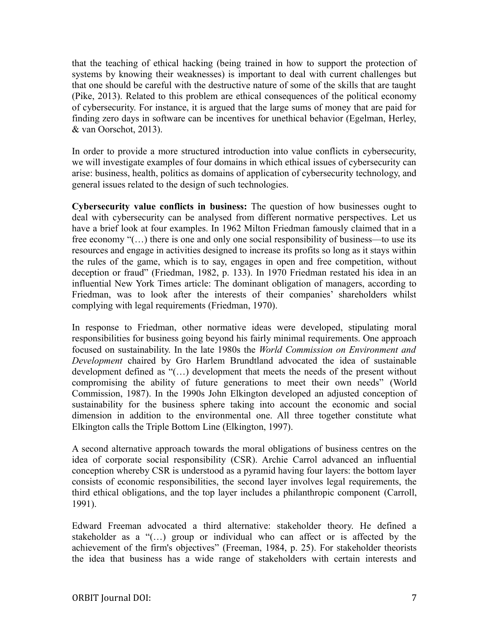that the teaching of ethical hacking (being trained in how to support the protection of systems by knowing their weaknesses) is important to deal with current challenges but that one should be careful with the destructive nature of some of the skills that are taught (Pike, 2013). Related to this problem are ethical consequences of the political economy of cybersecurity. For instance, it is argued that the large sums of money that are paid for finding zero days in software can be incentives for unethical behavior (Egelman, Herley, & van Oorschot, 2013).

In order to provide a more structured introduction into value conflicts in cybersecurity, we will investigate examples of four domains in which ethical issues of cybersecurity can arise: business, health, politics as domains of application of cybersecurity technology, and general issues related to the design of such technologies.

**Cybersecurity value conflicts in business:** The question of how businesses ought to deal with cybersecurity can be analysed from different normative perspectives. Let us have a brief look at four examples. In 1962 Milton Friedman famously claimed that in a free economy "(…) there is one and only one social responsibility of business—to use its resources and engage in activities designed to increase its profits so long as it stays within the rules of the game, which is to say, engages in open and free competition, without deception or fraud" (Friedman, 1982, p. 133). In 1970 Friedman restated his idea in an influential New York Times article: The dominant obligation of managers, according to Friedman, was to look after the interests of their companies' shareholders whilst complying with legal requirements (Friedman, 1970).

In response to Friedman, other normative ideas were developed, stipulating moral responsibilities for business going beyond his fairly minimal requirements. One approach focused on sustainability. In the late 1980s the *World Commission on Environment and Development* chaired by Gro Harlem Brundtland advocated the idea of sustainable development defined as "(…) development that meets the needs of the present without compromising the ability of future generations to meet their own needs" (World Commission, 1987). In the 1990s John Elkington developed an adjusted conception of sustainability for the business sphere taking into account the economic and social dimension in addition to the environmental one. All three together constitute what Elkington calls the Triple Bottom Line (Elkington, 1997).

A second alternative approach towards the moral obligations of business centres on the idea of corporate social responsibility (CSR). Archie Carrol advanced an influential conception whereby CSR is understood as a pyramid having four layers: the bottom layer consists of economic responsibilities, the second layer involves legal requirements, the third ethical obligations, and the top layer includes a philanthropic component (Carroll, 1991).

Edward Freeman advocated a third alternative: stakeholder theory. He defined a stakeholder as a "(…) group or individual who can affect or is affected by the achievement of the firm's objectives" (Freeman, 1984, p. 25). For stakeholder theorists the idea that business has a wide range of stakeholders with certain interests and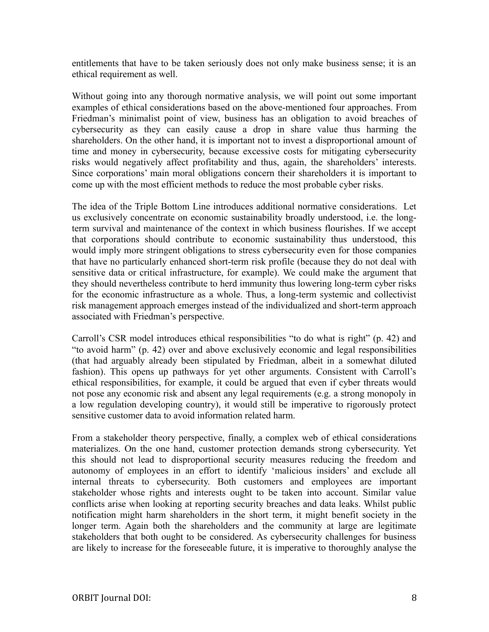entitlements that have to be taken seriously does not only make business sense; it is an ethical requirement as well.

Without going into any thorough normative analysis, we will point out some important examples of ethical considerations based on the above-mentioned four approaches. From Friedman's minimalist point of view, business has an obligation to avoid breaches of cybersecurity as they can easily cause a drop in share value thus harming the shareholders. On the other hand, it is important not to invest a disproportional amount of time and money in cybersecurity, because excessive costs for mitigating cybersecurity risks would negatively affect profitability and thus, again, the shareholders' interests. Since corporations' main moral obligations concern their shareholders it is important to come up with the most efficient methods to reduce the most probable cyber risks.

The idea of the Triple Bottom Line introduces additional normative considerations. Let us exclusively concentrate on economic sustainability broadly understood, i.e. the longterm survival and maintenance of the context in which business flourishes. If we accept that corporations should contribute to economic sustainability thus understood, this would imply more stringent obligations to stress cybersecurity even for those companies that have no particularly enhanced short-term risk profile (because they do not deal with sensitive data or critical infrastructure, for example). We could make the argument that they should nevertheless contribute to herd immunity thus lowering long-term cyber risks for the economic infrastructure as a whole. Thus, a long-term systemic and collectivist risk management approach emerges instead of the individualized and short-term approach associated with Friedman's perspective.

Carroll's CSR model introduces ethical responsibilities "to do what is right" (p. 42) and "to avoid harm" (p. 42) over and above exclusively economic and legal responsibilities (that had arguably already been stipulated by Friedman, albeit in a somewhat diluted fashion). This opens up pathways for yet other arguments. Consistent with Carroll's ethical responsibilities, for example, it could be argued that even if cyber threats would not pose any economic risk and absent any legal requirements (e.g. a strong monopoly in a low regulation developing country), it would still be imperative to rigorously protect sensitive customer data to avoid information related harm.

From a stakeholder theory perspective, finally, a complex web of ethical considerations materializes. On the one hand, customer protection demands strong cybersecurity. Yet this should not lead to disproportional security measures reducing the freedom and autonomy of employees in an effort to identify 'malicious insiders' and exclude all internal threats to cybersecurity. Both customers and employees are important stakeholder whose rights and interests ought to be taken into account. Similar value conflicts arise when looking at reporting security breaches and data leaks. Whilst public notification might harm shareholders in the short term, it might benefit society in the longer term. Again both the shareholders and the community at large are legitimate stakeholders that both ought to be considered. As cybersecurity challenges for business are likely to increase for the foreseeable future, it is imperative to thoroughly analyse the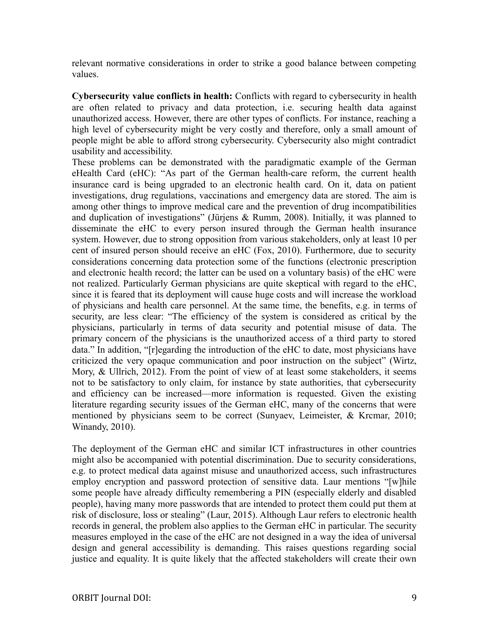relevant normative considerations in order to strike a good balance between competing values.

**Cybersecurity value conflicts in health:** Conflicts with regard to cybersecurity in health are often related to privacy and data protection, i.e. securing health data against unauthorized access. However, there are other types of conflicts. For instance, reaching a high level of cybersecurity might be very costly and therefore, only a small amount of people might be able to afford strong cybersecurity. Cybersecurity also might contradict usability and accessibility.

These problems can be demonstrated with the paradigmatic example of the German eHealth Card (eHC): "As part of the German health-care reform, the current health insurance card is being upgraded to an electronic health card. On it, data on patient investigations, drug regulations, vaccinations and emergency data are stored. The aim is among other things to improve medical care and the prevention of drug incompatibilities and duplication of investigations" (Jürjens & Rumm, 2008). Initially, it was planned to disseminate the eHC to every person insured through the German health insurance system. However, due to strong opposition from various stakeholders, only at least 10 per cent of insured person should receive an eHC (Fox, 2010). Furthermore, due to security considerations concerning data protection some of the functions (electronic prescription and electronic health record; the latter can be used on a voluntary basis) of the eHC were not realized. Particularly German physicians are quite skeptical with regard to the eHC, since it is feared that its deployment will cause huge costs and will increase the workload of physicians and health care personnel. At the same time, the benefits, e.g. in terms of security, are less clear: "The efficiency of the system is considered as critical by the physicians, particularly in terms of data security and potential misuse of data. The primary concern of the physicians is the unauthorized access of a third party to stored data." In addition, "[r]egarding the introduction of the eHC to date, most physicians have criticized the very opaque communication and poor instruction on the subject" (Wirtz, Mory, & Ullrich, 2012). From the point of view of at least some stakeholders, it seems not to be satisfactory to only claim, for instance by state authorities, that cybersecurity and efficiency can be increased—more information is requested. Given the existing literature regarding security issues of the German eHC, many of the concerns that were mentioned by physicians seem to be correct (Sunyaev, Leimeister, & Krcmar, 2010; Winandy, 2010).

The deployment of the German eHC and similar ICT infrastructures in other countries might also be accompanied with potential discrimination. Due to security considerations, e.g. to protect medical data against misuse and unauthorized access, such infrastructures employ encryption and password protection of sensitive data. Laur mentions "[w]hile some people have already difficulty remembering a PIN (especially elderly and disabled people), having many more passwords that are intended to protect them could put them at risk of disclosure, loss or stealing" (Laur, 2015). Although Laur refers to electronic health records in general, the problem also applies to the German eHC in particular. The security measures employed in the case of the eHC are not designed in a way the idea of universal design and general accessibility is demanding. This raises questions regarding social justice and equality. It is quite likely that the affected stakeholders will create their own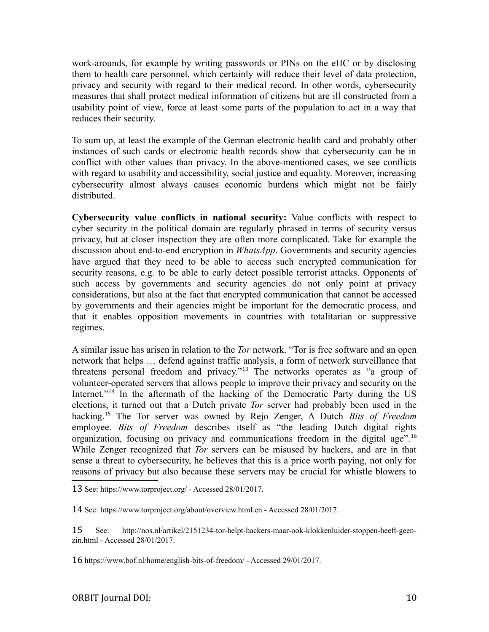work-arounds, for example by writing passwords or PINs on the eHC or by disclosing them to health care personnel, which certainly will reduce their level of data protection, privacy and security with regard to their medical record. In other words, cybersecurity measures that shall protect medical information of citizens but are ill constructed from a usability point of view, force at least some parts of the population to act in a way that reduces their security.

To sum up, at least the example of the German electronic health card and probably other instances of such cards or electronic health records show that cybersecurity can be in conflict with other values than privacy. In the above-mentioned cases, we see conflicts with regard to usability and accessibility, social justice and equality. Moreover, increasing cybersecurity almost always causes economic burdens which might not be fairly distributed.

**Cybersecurity value conflicts in national security:** Value conflicts with respect to cyber security in the political domain are regularly phrased in terms of security versus privacy, but at closer inspection they are often more complicated. Take for example the discussion about end-to-end encryption in *WhatsApp*. Governments and security agencies have argued that they need to be able to access such encrypted communication for security reasons, e.g. to be able to early detect possible terrorist attacks. Opponents of such access by governments and security agencies do not only point at privacy considerations, but also at the fact that encrypted communication that cannot be accessed by governments and their agencies might be important for the democratic process, and that it enables opposition movements in countries with totalitarian or suppressive regimes.

A similar issue has arisen in relation to the *Tor* network. "Tor is free software and an open network that helps … defend against traffic analysis, a form of network surveillance that threatens personal freedom and privacy."[13](#page-10-0) The networks operates as "a group of volunteer-operated servers that allows people to improve their privacy and security on the Internet."<sup>[14](#page-10-1)</sup> In the aftermath of the hacking of the Democratic Party during the US elections, it turned out that a Dutch private *Tor* server had probably been used in the hacking.[15](#page-10-2) The Tor server was owned by Rejo Zenger, A Dutch *Bits of Freedom* employee. *Bits of Freedom* describes itself as "the leading Dutch digital rights organization, focusing on privacy and communications freedom in the digital age".<sup>[16](#page-10-3)</sup> While Zenger recognized that *Tor* servers can be misused by hackers, and are in that sense a threat to cybersecurity, he believes that this is a price worth paying, not only for reasons of privacy but also because these servers may be crucial for whistle blowers to

<span id="page-10-0"></span>13 See: https://www.torproject.org/ - Accessed 28/01/2017.

<span id="page-10-1"></span>14 See: https://www.torproject.org/about/overview.html.en - Accessed 28/01/2017.

<span id="page-10-2"></span>15 See: http://nos.nl/artikel/2151234-tor-helpt-hackers-maar-ook-klokkenluider-stoppen-heeft-geenzin.html - Accessed 28/01/2017.

<span id="page-10-3"></span>16 https://www.bof.nl/home/english-bits-of-freedom/ - Accessed 29/01/2017.

ORBIT Journal DOI: 10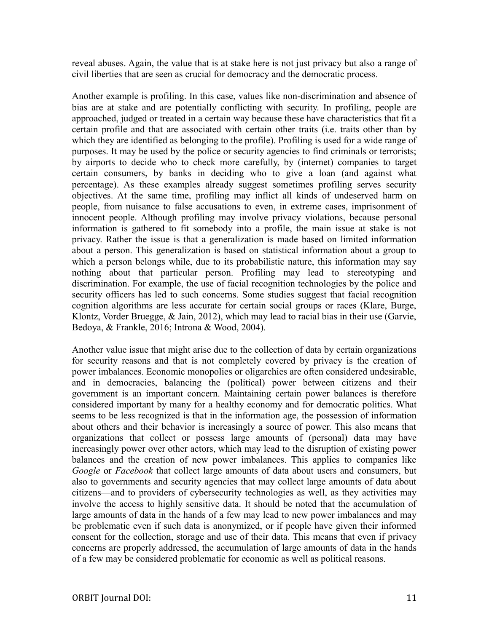reveal abuses. Again, the value that is at stake here is not just privacy but also a range of civil liberties that are seen as crucial for democracy and the democratic process.

Another example is profiling. In this case, values like non-discrimination and absence of bias are at stake and are potentially conflicting with security. In profiling, people are approached, judged or treated in a certain way because these have characteristics that fit a certain profile and that are associated with certain other traits (i.e. traits other than by which they are identified as belonging to the profile). Profiling is used for a wide range of purposes. It may be used by the police or security agencies to find criminals or terrorists; by airports to decide who to check more carefully, by (internet) companies to target certain consumers, by banks in deciding who to give a loan (and against what percentage). As these examples already suggest sometimes profiling serves security objectives. At the same time, profiling may inflict all kinds of undeserved harm on people, from nuisance to false accusations to even, in extreme cases, imprisonment of innocent people. Although profiling may involve privacy violations, because personal information is gathered to fit somebody into a profile, the main issue at stake is not privacy. Rather the issue is that a generalization is made based on limited information about a person. This generalization is based on statistical information about a group to which a person belongs while, due to its probabilistic nature, this information may say nothing about that particular person. Profiling may lead to stereotyping and discrimination. For example, the use of facial recognition technologies by the police and security officers has led to such concerns. Some studies suggest that facial recognition cognition algorithms are less accurate for certain social groups or races (Klare, Burge, Klontz, Vorder Bruegge, & Jain, 2012), which may lead to racial bias in their use (Garvie, Bedoya, & Frankle, 2016; Introna & Wood, 2004).

Another value issue that might arise due to the collection of data by certain organizations for security reasons and that is not completely covered by privacy is the creation of power imbalances. Economic monopolies or oligarchies are often considered undesirable, and in democracies, balancing the (political) power between citizens and their government is an important concern. Maintaining certain power balances is therefore considered important by many for a healthy economy and for democratic politics. What seems to be less recognized is that in the information age, the possession of information about others and their behavior is increasingly a source of power. This also means that organizations that collect or possess large amounts of (personal) data may have increasingly power over other actors, which may lead to the disruption of existing power balances and the creation of new power imbalances. This applies to companies like *Google* or *Facebook* that collect large amounts of data about users and consumers, but also to governments and security agencies that may collect large amounts of data about citizens—and to providers of cybersecurity technologies as well, as they activities may involve the access to highly sensitive data. It should be noted that the accumulation of large amounts of data in the hands of a few may lead to new power imbalances and may be problematic even if such data is anonymized, or if people have given their informed consent for the collection, storage and use of their data. This means that even if privacy concerns are properly addressed, the accumulation of large amounts of data in the hands of a few may be considered problematic for economic as well as political reasons.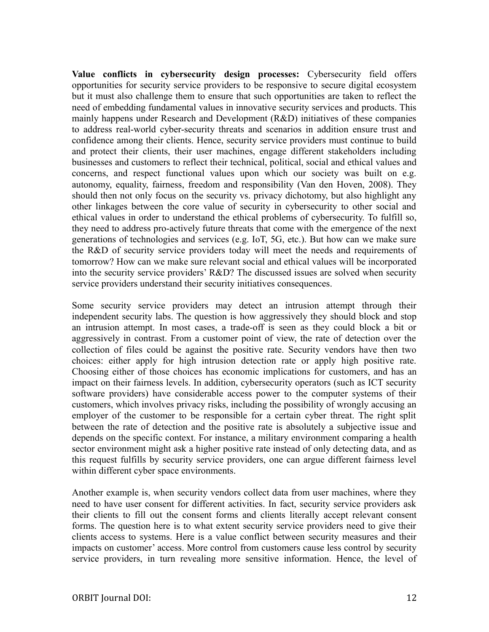**Value conflicts in cybersecurity design processes:** Cybersecurity field offers opportunities for security service providers to be responsive to secure digital ecosystem but it must also challenge them to ensure that such opportunities are taken to reflect the need of embedding fundamental values in innovative security services and products. This mainly happens under Research and Development (R&D) initiatives of these companies to address real-world cyber-security threats and scenarios in addition ensure trust and confidence among their clients. Hence, security service providers must continue to build and protect their clients, their user machines, engage different stakeholders including businesses and customers to reflect their technical, political, social and ethical values and concerns, and respect functional values upon which our society was built on e.g. autonomy, equality, fairness, freedom and responsibility (Van den Hoven, 2008). They should then not only focus on the security vs. privacy dichotomy, but also highlight any other linkages between the core value of security in cybersecurity to other social and ethical values in order to understand the ethical problems of cybersecurity. To fulfill so, they need to address pro-actively future threats that come with the emergence of the next generations of technologies and services (e.g. IoT, 5G, etc.). But how can we make sure the R&D of security service providers today will meet the needs and requirements of tomorrow? How can we make sure relevant social and ethical values will be incorporated into the security service providers' R&D? The discussed issues are solved when security service providers understand their security initiatives consequences.

Some security service providers may detect an intrusion attempt through their independent security labs. The question is how aggressively they should block and stop an intrusion attempt. In most cases, a trade-off is seen as they could block a bit or aggressively in contrast. From a customer point of view, the rate of detection over the collection of files could be against the positive rate. Security vendors have then two choices: either apply for high intrusion detection rate or apply high positive rate. Choosing either of those choices has economic implications for customers, and has an impact on their fairness levels. In addition, cybersecurity operators (such as ICT security software providers) have considerable access power to the computer systems of their customers, which involves privacy risks, including the possibility of wrongly accusing an employer of the customer to be responsible for a certain cyber threat. The right split between the rate of detection and the positive rate is absolutely a subjective issue and depends on the specific context. For instance, a military environment comparing a health sector environment might ask a higher positive rate instead of only detecting data, and as this request fulfills by security service providers, one can argue different fairness level within different cyber space environments.

Another example is, when security vendors collect data from user machines, where they need to have user consent for different activities. In fact, security service providers ask their clients to fill out the consent forms and clients literally accept relevant consent forms. The question here is to what extent security service providers need to give their clients access to systems. Here is a value conflict between security measures and their impacts on customer' access. More control from customers cause less control by security service providers, in turn revealing more sensitive information. Hence, the level of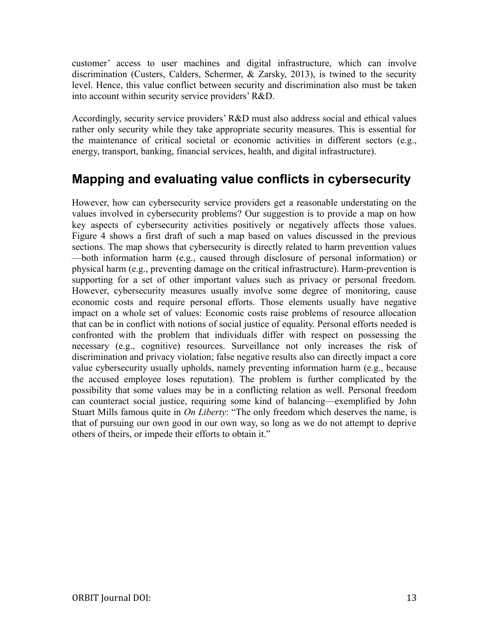customer' access to user machines and digital infrastructure, which can involve discrimination (Custers, Calders, Schermer, & Zarsky, 2013), is twined to the security level. Hence, this value conflict between security and discrimination also must be taken into account within security service providers' R&D.

Accordingly, security service providers' R&D must also address social and ethical values rather only security while they take appropriate security measures. This is essential for the maintenance of critical societal or economic activities in different sectors (e.g., energy, transport, banking, financial services, health, and digital infrastructure).

# **Mapping and evaluating value conflicts in cybersecurity**

However, how can cybersecurity service providers get a reasonable understating on the values involved in cybersecurity problems? Our suggestion is to provide a map on how key aspects of cybersecurity activities positively or negatively affects those values. Figure 4 shows a first draft of such a map based on values discussed in the previous sections. The map shows that cybersecurity is directly related to harm prevention values —both information harm (e.g., caused through disclosure of personal information) or physical harm (e.g., preventing damage on the critical infrastructure). Harm-prevention is supporting for a set of other important values such as privacy or personal freedom. However, cybersecurity measures usually involve some degree of monitoring, cause economic costs and require personal efforts. Those elements usually have negative impact on a whole set of values: Economic costs raise problems of resource allocation that can be in conflict with notions of social justice of equality. Personal efforts needed is confronted with the problem that individuals differ with respect on possessing the necessary (e.g., cognitive) resources. Surveillance not only increases the risk of discrimination and privacy violation; false negative results also can directly impact a core value cybersecurity usually upholds, namely preventing information harm (e.g., because the accused employee loses reputation). The problem is further complicated by the possibility that some values may be in a conflicting relation as well. Personal freedom can counteract social justice, requiring some kind of balancing—exemplified by John Stuart Mills famous quite in *On Liberty*: "The only freedom which deserves the name, is that of pursuing our own good in our own way, so long as we do not attempt to deprive others of theirs, or impede their efforts to obtain it."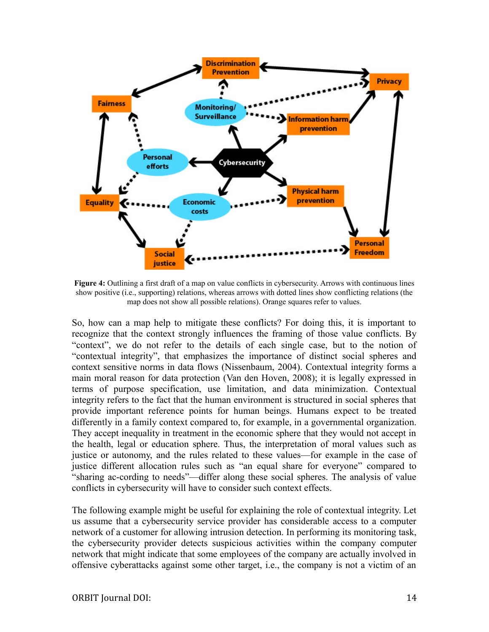

**Figure 4:** Outlining a first draft of a map on value conflicts in cybersecurity. Arrows with continuous lines show positive (i.e., supporting) relations, whereas arrows with dotted lines show conflicting relations (the map does not show all possible relations). Orange squares refer to values.

So, how can a map help to mitigate these conflicts? For doing this, it is important to recognize that the context strongly influences the framing of those value conflicts. By "context", we do not refer to the details of each single case, but to the notion of "contextual integrity", that emphasizes the importance of distinct social spheres and context sensitive norms in data flows (Nissenbaum, 2004). Contextual integrity forms a main moral reason for data protection (Van den Hoven, 2008); it is legally expressed in terms of purpose specification, use limitation, and data minimization. Contextual integrity refers to the fact that the human environment is structured in social spheres that provide important reference points for human beings. Humans expect to be treated differently in a family context compared to, for example, in a governmental organization. They accept inequality in treatment in the economic sphere that they would not accept in the health, legal or education sphere. Thus, the interpretation of moral values such as justice or autonomy, and the rules related to these values—for example in the case of justice different allocation rules such as "an equal share for everyone" compared to "sharing ac-cording to needs"—differ along these social spheres. The analysis of value conflicts in cybersecurity will have to consider such context effects.

The following example might be useful for explaining the role of contextual integrity. Let us assume that a cybersecurity service provider has considerable access to a computer network of a customer for allowing intrusion detection. In performing its monitoring task, the cybersecurity provider detects suspicious activities within the company computer network that might indicate that some employees of the company are actually involved in offensive cyberattacks against some other target, i.e., the company is not a victim of an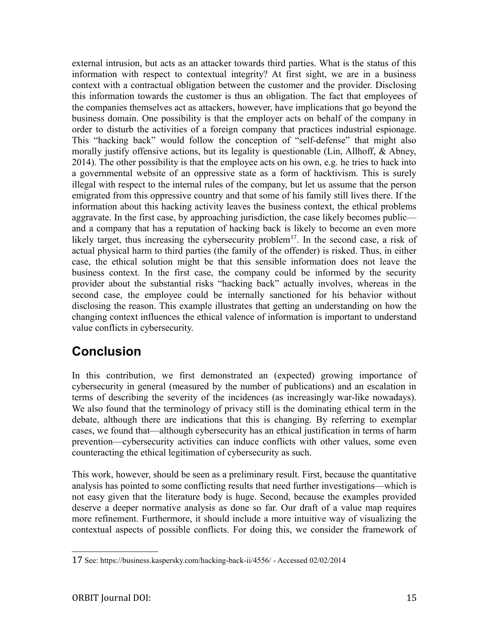external intrusion, but acts as an attacker towards third parties. What is the status of this information with respect to contextual integrity? At first sight, we are in a business context with a contractual obligation between the customer and the provider. Disclosing this information towards the customer is thus an obligation. The fact that employees of the companies themselves act as attackers, however, have implications that go beyond the business domain. One possibility is that the employer acts on behalf of the company in order to disturb the activities of a foreign company that practices industrial espionage. This "hacking back" would follow the conception of "self-defense" that might also morally justify offensive actions, but its legality is questionable (Lin, Allhoff, & Abney, 2014). The other possibility is that the employee acts on his own, e.g. he tries to hack into a governmental website of an oppressive state as a form of hacktivism. This is surely illegal with respect to the internal rules of the company, but let us assume that the person emigrated from this oppressive country and that some of his family still lives there. If the information about this hacking activity leaves the business context, the ethical problems aggravate. In the first case, by approaching jurisdiction, the case likely becomes public and a company that has a reputation of hacking back is likely to become an even more likely target, thus increasing the cybersecurity problem<sup>[17](#page-15-0)</sup>. In the second case, a risk of actual physical harm to third parties (the family of the offender) is risked. Thus, in either case, the ethical solution might be that this sensible information does not leave the business context. In the first case, the company could be informed by the security provider about the substantial risks "hacking back" actually involves, whereas in the second case, the employee could be internally sanctioned for his behavior without disclosing the reason. This example illustrates that getting an understanding on how the changing context influences the ethical valence of information is important to understand value conflicts in cybersecurity.

# **Conclusion**

In this contribution, we first demonstrated an (expected) growing importance of cybersecurity in general (measured by the number of publications) and an escalation in terms of describing the severity of the incidences (as increasingly war-like nowadays). We also found that the terminology of privacy still is the dominating ethical term in the debate, although there are indications that this is changing. By referring to exemplar cases, we found that—although cybersecurity has an ethical justification in terms of harm prevention—cybersecurity activities can induce conflicts with other values, some even counteracting the ethical legitimation of cybersecurity as such.

This work, however, should be seen as a preliminary result. First, because the quantitative analysis has pointed to some conflicting results that need further investigations—which is not easy given that the literature body is huge. Second, because the examples provided deserve a deeper normative analysis as done so far. Our draft of a value map requires more refinement. Furthermore, it should include a more intuitive way of visualizing the contextual aspects of possible conflicts. For doing this, we consider the framework of

<span id="page-15-0"></span><sup>17</sup> See: https://business.kaspersky.com/hacking-back-ii/4556/ - Accessed 02/02/2014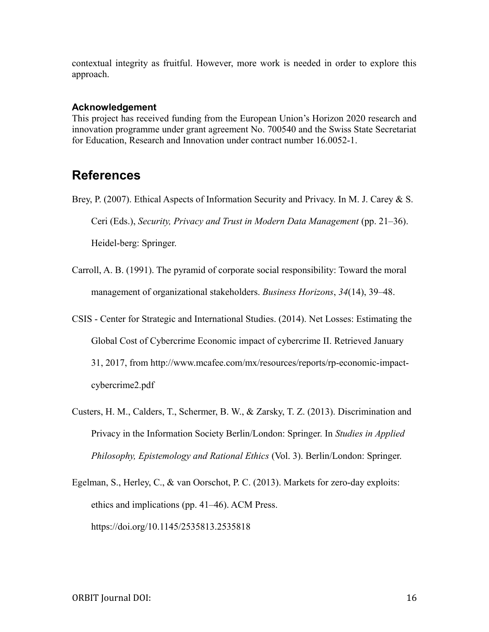contextual integrity as fruitful. However, more work is needed in order to explore this approach.

#### **Acknowledgement**

This project has received funding from the European Union's Horizon 2020 research and innovation programme under grant agreement No. 700540 and the Swiss State Secretariat for Education, Research and Innovation under contract number 16.0052-1.

## **References**

- Brey, P. (2007). Ethical Aspects of Information Security and Privacy. In M. J. Carey & S. Ceri (Eds.), *Security, Privacy and Trust in Modern Data Management* (pp. 21–36). Heidel-berg: Springer.
- Carroll, A. B. (1991). The pyramid of corporate social responsibility: Toward the moral management of organizational stakeholders. *Business Horizons*, *34*(14), 39–48.
- CSIS Center for Strategic and International Studies. (2014). Net Losses: Estimating the Global Cost of Cybercrime Economic impact of cybercrime II. Retrieved January 31, 2017, from http://www.mcafee.com/mx/resources/reports/rp-economic-impactcybercrime2.pdf
- Custers, H. M., Calders, T., Schermer, B. W., & Zarsky, T. Z. (2013). Discrimination and Privacy in the Information Society Berlin/London: Springer. In *Studies in Applied Philosophy, Epistemology and Rational Ethics* (Vol. 3). Berlin/London: Springer.
- Egelman, S., Herley, C., & van Oorschot, P. C. (2013). Markets for zero-day exploits: ethics and implications (pp. 41–46). ACM Press. https://doi.org/10.1145/2535813.2535818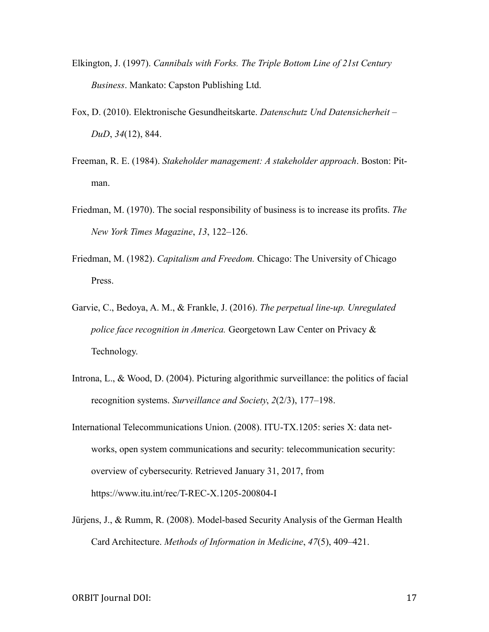- Elkington, J. (1997). *Cannibals with Forks. The Triple Bottom Line of 21st Century Business*. Mankato: Capston Publishing Ltd.
- Fox, D. (2010). Elektronische Gesundheitskarte. *Datenschutz Und Datensicherheit – DuD*, *34*(12), 844.
- Freeman, R. E. (1984). *Stakeholder management: A stakeholder approach*. Boston: Pitman.
- Friedman, M. (1970). The social responsibility of business is to increase its profits. *The New York Times Magazine*, *13*, 122–126.
- Friedman, M. (1982). *Capitalism and Freedom.* Chicago: The University of Chicago Press.
- Garvie, C., Bedoya, A. M., & Frankle, J. (2016). *The perpetual line-up. Unregulated police face recognition in America.* Georgetown Law Center on Privacy & Technology.
- Introna, L., & Wood, D. (2004). Picturing algorithmic surveillance: the politics of facial recognition systems. *Surveillance and Society*, *2*(2/3), 177–198.
- International Telecommunications Union. (2008). ITU-TX.1205: series X: data networks, open system communications and security: telecommunication security: overview of cybersecurity. Retrieved January 31, 2017, from https://www.itu.int/rec/T-REC-X.1205-200804-I
- Jürjens, J., & Rumm, R. (2008). Model-based Security Analysis of the German Health Card Architecture. *Methods of Information in Medicine*, *47*(5), 409–421.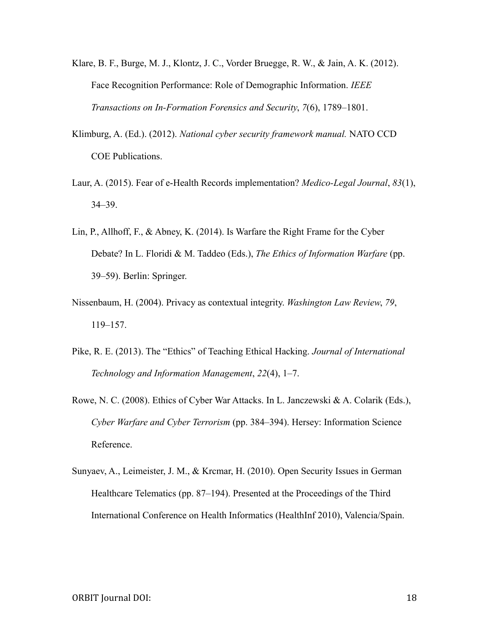- Klare, B. F., Burge, M. J., Klontz, J. C., Vorder Bruegge, R. W., & Jain, A. K. (2012). Face Recognition Performance: Role of Demographic Information. *IEEE Transactions on In-Formation Forensics and Security*, *7*(6), 1789–1801.
- Klimburg, A. (Ed.). (2012). *National cyber security framework manual.* NATO CCD COE Publications.
- Laur, A. (2015). Fear of e-Health Records implementation? *Medico-Legal Journal*, *83*(1), 34–39.
- Lin, P., Allhoff, F., & Abney, K. (2014). Is Warfare the Right Frame for the Cyber Debate? In L. Floridi & M. Taddeo (Eds.), *The Ethics of Information Warfare* (pp. 39–59). Berlin: Springer.
- Nissenbaum, H. (2004). Privacy as contextual integrity. *Washington Law Review*, *79*, 119–157.
- Pike, R. E. (2013). The "Ethics" of Teaching Ethical Hacking. *Journal of International Technology and Information Management*, *22*(4), 1–7.
- Rowe, N. C. (2008). Ethics of Cyber War Attacks. In L. Janczewski & A. Colarik (Eds.), *Cyber Warfare and Cyber Terrorism* (pp. 384–394). Hersey: Information Science Reference.
- Sunyaev, A., Leimeister, J. M., & Krcmar, H. (2010). Open Security Issues in German Healthcare Telematics (pp. 87–194). Presented at the Proceedings of the Third International Conference on Health Informatics (HealthInf 2010), Valencia/Spain.